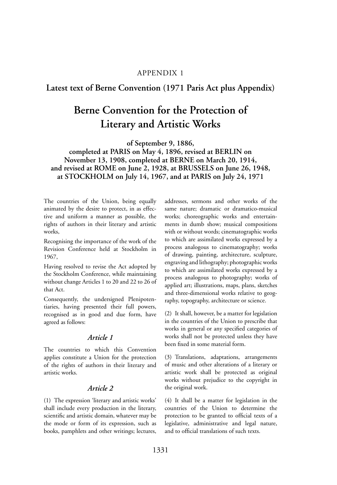## APPENDIX 1

# **Latest text of Berne Convention (1971 Paris Act plus Appendix)**

# **Berne Convention for the Protection of Literary and Artistic Works**

**of September 9, 1886,**

# **completed at PARIS on May 4, 1896, revised at BERLIN on November 13, 1908, completed at BERNE on March 20, 1914, and revised at ROME on June 2, 1928, at BRUSSELS on June 26, 1948, at STOCKHOLM on July 14, 1967, and at PARIS on July 24, 1971**

The countries of the Union, being equally animated by the desire to protect, in as effective and uniform a manner as possible, the rights of authors in their literary and artistic works,

Recognising the importance of the work of the Revision Conference held at Stockholm in 1967,

Having resolved to revise the Act adopted by the Stockholm Conference, while maintaining without change Articles 1 to 20 and 22 to 26 of that Act.

Consequently, the undersigned Plenipotentiaries, having presented their full powers, recognised as in good and due form, have agreed as follows:

#### *Article 1*

The countries to which this Convention applies constitute a Union for the protection of the rights of authors in their literary and artistic works.

## *Article 2*

(1) The expression 'literary and artistic works' shall include every production in the literary, scientific and artistic domain, whatever may be the mode or form of its expression, such as books, pamphlets and other writings; lectures,

addresses, sermons and other works of the same nature; dramatic or dramatico-musical works; choreographic works and entertainments in dumb show; musical compositions with or without words; cinematographic works to which are assimilated works expressed by a process analogous to cinematography; works of drawing, painting, architecture, sculpture, engraving and lithography; photographic works to which are assimilated works expressed by a process analogous to photography; works of applied art; illustrations, maps, plans, sketches and three-dimensional works relative to geography, topography, architecture or science.

(2) It shall, however, be a matter for legislation in the countries of the Union to prescribe that works in general or any specified categories of works shall not be protected unless they have been fixed in some material form.

(3) Translations, adaptations, arrangements of music and other alterations of a literary or artistic work shall be protected as original works without prejudice to the copyright in the original work.

(4) It shall be a matter for legislation in the countries of the Union to determine the protection to be granted to official texts of a legislative, administrative and legal nature, and to official translations of such texts.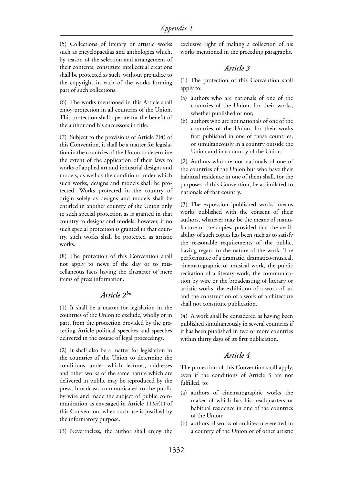(5) Collections of literary or artistic works such as encyclopaedias and anthologies which, by reason of the selection and arrangement of their contents, constitute intellectual creations shall be protected as such, without prejudice to the copyright in each of the works forming part of such collections.

(6) The works mentioned in this Article shall enjoy protection in all countries of the Union. This protection shall operate for the benefit of the author and his successors in title.

(7) Subject to the provisions of Article 7(4) of this Convention, it shall be a matter for legislation in the countries of the Union to determine the extent of the application of their laws to works of applied art and industrial designs and models, as well as the conditions under which such works, designs and models shall be protected. Works protected in the country of origin solely as designs and models shall be entitled in another country of the Union only to such special protection as is granted in that country to designs and models; however, if no such special protection is granted in that country, such works shall be protected as artistic works.

(8) The protection of this Convention shall not apply to news of the day or to miscellaneous facts having the character of mere items of press information.

#### *Article 2bis*

(1) It shall be a matter for legislation in the countries of the Union to exclude, wholly or in part, from the protection provided by the preceding Article political speeches and speeches delivered in the course of legal proceedings.

(2) It shall also be a matter for legislation in the countries of the Union to determine the conditions under which lectures, addresses and other works of the same nature which are delivered in public may be reproduced by the press, broadcast, communicated to the public by wire and made the subject of public communication as envisaged in Article 11*bis*(1) of this Convention, when such use is justified by the informatory purpose.

(3) Nevertheless, the author shall enjoy the

exclusive right of making a collection of his works mentioned in the preceding paragraphs.

#### *Article 3*

(1) The protection of this Convention shall apply to:

- (a) authors who are nationals of one of the countries of the Union, for their works, whether published or not;
- (b) authors who are not nationals of one of the countries of the Union, for their works first published in one of those countries, or simultaneously in a country outside the Union and in a country of the Union.

(2) Authors who are not nationals of one of the countries of the Union but who have their habitual residence in one of them shall, for the purposes of this Convention, be assimilated to nationals of that country.

(3) The expression 'published works' means works published with the consent of their authors, whatever may be the means of manufacture of the copies, provided that the availability of such copies has been such as to satisfy the reasonable requirements of the public, having regard to the nature of the work. The performance of a dramatic, dramatico-musical, cinematographic or musical work, the public recitation of a literary work, the communication by wire or the broadcasting of literary or artistic works, the exhibition of a work of art and the construction of a work of architecture shall not constitute publication.

(4) A work shall be considered as having been published simultaneously in several countries if it has been published in two or more countries within thirty days of its first publication.

#### *Article 4*

The protection of this Convention shall apply, even if the conditions of Article 3 are not fulfilled, to:

- (a) authors of cinematographic works the maker of which has his headquarters or habitual residence in one of the countries of the Union;
- (b) authors of works of architecture erected in a country of the Union or of other artistic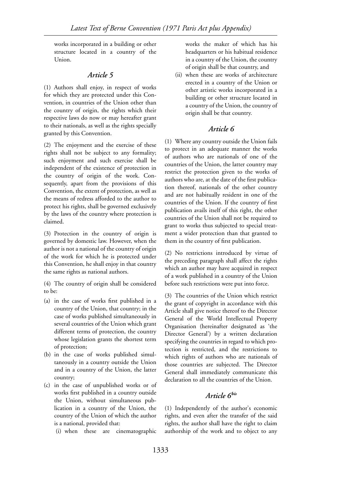works incorporated in a building or other structure located in a country of the Union.

#### *Article 5*

(1) Authors shall enjoy, in respect of works for which they are protected under this Convention, in countries of the Union other than the country of origin, the rights which their respective laws do now or may hereafter grant to their nationals, as well as the rights specially granted by this Convention.

(2) The enjoyment and the exercise of these rights shall not be subject to any formality; such enjoyment and such exercise shall be independent of the existence of protection in the country of origin of the work. Consequently, apart from the provisions of this Convention, the extent of protection, as well as the means of redress afforded to the author to protect his rights, shall be governed exclusively by the laws of the country where protection is claimed.

(3) Protection in the country of origin is governed by domestic law. However, when the author is not a national of the country of origin of the work for which he is protected under this Convention, he shall enjoy in that country the same rights as national authors.

(4) The country of origin shall be considered to be:

- (a) in the case of works first published in a country of the Union, that country; in the case of works published simultaneously in several countries of the Union which grant different terms of protection, the country whose legislation grants the shortest term of protection;
- (b) in the case of works published simultaneously in a country outside the Union and in a country of the Union, the latter country;
- (c) in the case of unpublished works or of works first published in a country outside the Union, without simultaneous publication in a country of the Union, the country of the Union of which the author is a national, provided that:

(i) when these are cinematographic

works the maker of which has his headquarters or his habitual residence in a country of the Union, the country of origin shall be that country, and

(ii) when these are works of architecture erected in a country of the Union or other artistic works incorporated in a building or other structure located in a country of the Union, the country of origin shall be that country.

# *Article 6*

(1) Where any country outside the Union fails to protect in an adequate manner the works of authors who are nationals of one of the countries of the Union, the latter country may restrict the protection given to the works of authors who are, at the date of the first publication thereof, nationals of the other country and are not habitually resident in one of the countries of the Union. If the country of first publication avails itself of this right, the other countries of the Union shall not be required to grant to works thus subjected to special treatment a wider protection than that granted to them in the country of first publication.

(2) No restrictions introduced by virtue of the preceding paragraph shall affect the rights which an author may have acquired in respect of a work published in a country of the Union before such restrictions were put into force.

(3) The countries of the Union which restrict the grant of copyright in accordance with this Article shall give notice thereof to the Director General of the World Intellectual Property Organisation (hereinafter designated as 'the Director General') by a written declaration specifying the countries in regard to which protection is restricted, and the restrictions to which rights of authors who are nationals of those countries are subjected. The Director General shall immediately communicate this declaration to all the countries of the Union.

# *Article 6bis*

(1) Independently of the author's economic rights, and even after the transfer of the said rights, the author shall have the right to claim authorship of the work and to object to any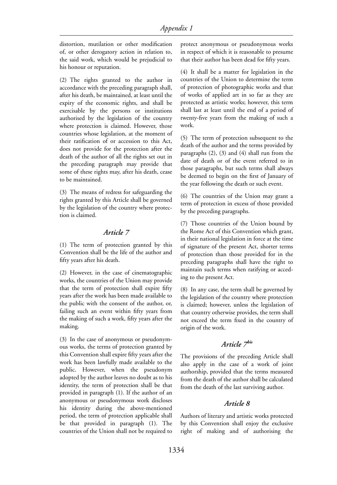distortion, mutilation or other modification of, or other derogatory action in relation to, the said work, which would be prejudicial to his honour or reputation.

(2) The rights granted to the author in accordance with the preceding paragraph shall, after his death, be maintained, at least until the expiry of the economic rights, and shall be exercisable by the persons or institutions authorised by the legislation of the country where protection is claimed. However, those countries whose legislation, at the moment of their ratification of or accession to this Act, does not provide for the protection after the death of the author of all the rights set out in the preceding paragraph may provide that some of these rights may, after his death, cease to be maintained.

(3) The means of redress for safeguarding the rights granted by this Article shall be governed by the legislation of the country where protection is claimed.

#### *Article 7*

(1) The term of protection granted by this Convention shall be the life of the author and fifty years after his death.

(2) However, in the case of cinematographic works, the countries of the Union may provide that the term of protection shall expire fifty years after the work has been made available to the public with the consent of the author, or, failing such an event within fifty years from the making of such a work, fifty years after the making.

(3) In the case of anonymous or pseudonymous works, the terms of protection granted by this Convention shall expire fifty years after the work has been lawfully made available to the public. However, when the pseudonym adopted by the author leaves no doubt as to his identity, the term of protection shall be that provided in paragraph (1). If the author of an anonymous or pseudonymous work discloses his identity during the above-mentioned period, the term of protection applicable shall be that provided in paragraph (1). The countries of the Union shall not be required to protect anonymous or pseudonymous works in respect of which it is reasonable to presume that their author has been dead for fifty years.

(4) It shall be a matter for legislation in the countries of the Union to determine the term of protection of photographic works and that of works of applied art in so far as they are protected as artistic works; however, this term shall last at least until the end of a period of twenty-five years from the making of such a work.

(5) The term of protection subsequent to the death of the author and the terms provided by paragraphs (2), (3) and (4) shall run from the date of death or of the event referred to in those paragraphs, but such terms shall always be deemed to begin on the first of January of the year following the death or such event.

(6) The countries of the Union may grant a term of protection in excess of those provided by the preceding paragraphs.

(7) Those countries of the Union bound by the Rome Act of this Convention which grant, in their national legislation in force at the time of signature of the present Act, shorter terms of protection than those provided for in the preceding paragraphs shall have the right to maintain such terms when ratifying or acceding to the present Act.

(8) In any case, the term shall be governed by the legislation of the country where protection is claimed; however, unless the legislation of that country otherwise provides, the term shall not exceed the term fixed in the country of origin of the work.

## *Article 7bis*

The provisions of the preceding Article shall also apply in the case of a work of joint authorship, provided that the terms measured from the death of the author shall be calculated from the death of the last surviving author.

#### *Article 8*

Authors of literary and artistic works protected by this Convention shall enjoy the exclusive right of making and of authorising the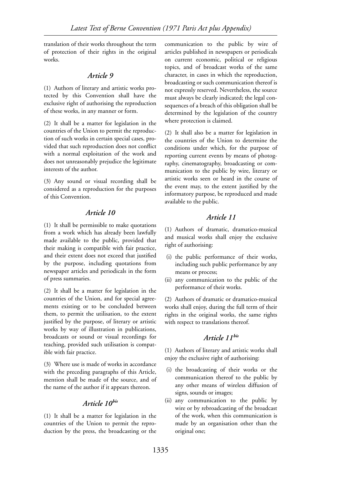translation of their works throughout the term of protection of their rights in the original works.

## *Article 9*

(1) Authors of literary and artistic works protected by this Convention shall have the exclusive right of authorising the reproduction of these works, in any manner or form.

(2) It shall be a matter for legislation in the countries of the Union to permit the reproduction of such works in certain special cases, provided that such reproduction does not conflict with a normal exploitation of the work and does not unreasonably prejudice the legitimate interests of the author.

(3) Any sound or visual recording shall be considered as a reproduction for the purposes of this Convention.

# *Article 10*

(1) It shall be permissible to make quotations from a work which has already been lawfully made available to the public, provided that their making is compatible with fair practice, and their extent does not exceed that justified by the purpose, including quotations from newspaper articles and periodicals in the form of press summaries.

(2) It shall be a matter for legislation in the countries of the Union, and for special agreements existing or to be concluded between them, to permit the utilisation, to the extent justified by the purpose, of literary or artistic works by way of illustration in publications, broadcasts or sound or visual recordings for teaching, provided such utilisation is compatible with fair practice.

(3) Where use is made of works in accordance with the preceding paragraphs of this Article, mention shall be made of the source, and of the name of the author if it appears thereon.

# *Article 10bis*

(1) It shall be a matter for legislation in the countries of the Union to permit the reproduction by the press, the broadcasting or the communication to the public by wire of articles published in newspapers or periodicals on current economic, political or religious topics, and of broadcast works of the same character, in cases in which the reproduction, broadcasting or such communication thereof is not expressly reserved. Nevertheless, the source must always be clearly indicated; the legal consequences of a breach of this obligation shall be determined by the legislation of the country where protection is claimed.

(2) It shall also be a matter for legislation in the countries of the Union to determine the conditions under which, for the purpose of reporting current events by means of photography, cinematography, broadcasting or communication to the public by wire, literary or artistic works seen or heard in the course of the event may, to the extent justified by the informatory purpose, be reproduced and made available to the public.

# *Article 11*

(1) Authors of dramatic, dramatico-musical and musical works shall enjoy the exclusive right of authorising:

- (i) the public performance of their works, including such public performance by any means or process;
- (ii) any communication to the public of the performance of their works.

(2) Authors of dramatic or dramatico-musical works shall enjoy, during the full term of their rights in the original works, the same rights with respect to translations thereof.

# *Article 11bis*

(1) Authors of literary and artistic works shall enjoy the exclusive right of authorising:

- (i) the broadcasting of their works or the communication thereof to the public by any other means of wireless diffusion of signs, sounds or images;
- (ii) any communication to the public by wire or by rebroadcasting of the broadcast of the work, when this communication is made by an organisation other than the original one;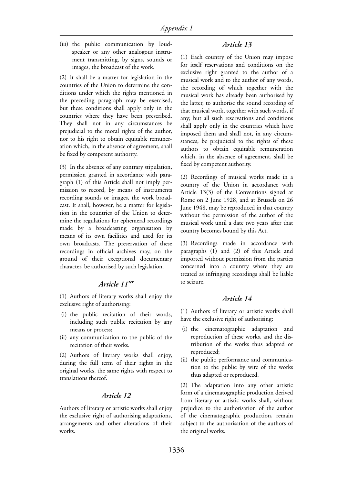(iii) the public communication by loudspeaker or any other analogous instrument transmitting, by signs, sounds or images, the broadcast of the work.

(2) It shall be a matter for legislation in the countries of the Union to determine the conditions under which the rights mentioned in the preceding paragraph may be exercised, but these conditions shall apply only in the countries where they have been prescribed. They shall not in any circumstances be prejudicial to the moral rights of the author, nor to his right to obtain equitable remuneration which, in the absence of agreement, shall be fixed by competent authority.

(3) In the absence of any contrary stipulation, permission granted in accordance with paragraph (1) of this Article shall not imply permission to record, by means of instruments recording sounds or images, the work broadcast. It shall, however, be a matter for legislation in the countries of the Union to determine the regulations for ephemeral recordings made by a broadcasting organisation by means of its own facilities and used for its own broadcasts. The preservation of these recordings in official archives may, on the ground of their exceptional documentary character, be authorised by such legislation.

## *Article 11ter*

(1) Authors of literary works shall enjoy the exclusive right of authorising:

- (i) the public recitation of their words, including such public recitation by any means or process;
- (ii) any communication to the public of the recitation of their works.

(2) Authors of literary works shall enjoy, during the full term of their rights in the original works, the same rights with respect to translations thereof.

#### *Article 12*

Authors of literary or artistic works shall enjoy the exclusive right of authorising adaptations, arrangements and other alterations of their works.

# *Article 13*

(1) Each country of the Union may impose for itself reservations and conditions on the exclusive right granted to the author of a musical work and to the author of any words, the recording of which together with the musical work has already been authorised by the latter, to authorise the sound recording of that musical work, together with such words, if any; but all such reservations and conditions shall apply only in the countries which have imposed them and shall not, in any circumstances, be prejudicial to the rights of these authors to obtain equitable remuneration which, in the absence of agreement, shall be fixed by competent authority.

(2) Recordings of musical works made in a country of the Union in accordance with Article 13(3) of the Conventions signed at Rome on 2 June 1928, and at Brussels on 26 June 1948, may be reproduced in that country without the permission of the author of the musical work until a date two years after that country becomes bound by this Act.

(3) Recordings made in accordance with paragraphs (1) and (2) of this Article and imported without permission from the parties concerned into a country where they are treated as infringing recordings shall be liable to seizure.

#### *Article 14*

(1) Authors of literary or artistic works shall have the exclusive right of authorising:

- (i) the cinematographic adaptation and reproduction of these works, and the distribution of the works thus adapted or reproduced;
- (ii) the public performance and communication to the public by wire of the works thus adapted or reproduced.

(2) The adaptation into any other artistic form of a cinematographic production derived from literary or artistic works shall, without prejudice to the authorisation of the author of the cinematographic production, remain subject to the authorisation of the authors of the original works.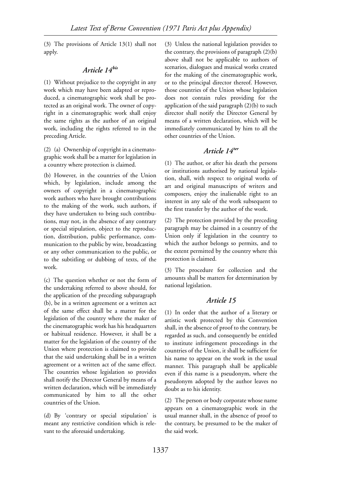(3) The provisions of Article 13(1) shall not apply.

# *Article 14bis*

(1) Without prejudice to the copyright in any work which may have been adapted or reproduced, a cinematographic work shall be protected as an original work. The owner of copyright in a cinematographic work shall enjoy the same rights as the author of an original work, including the rights referred to in the preceding Article.

(2) (a) Ownership of copyright in a cinematographic work shall be a matter for legislation in a country where protection is claimed.

(b) However, in the countries of the Union which, by legislation, include among the owners of copyright in a cinematographic work authors who have brought contributions to the making of the work, such authors, if they have undertaken to bring such contributions, may not, in the absence of any contrary or special stipulation, object to the reproduction, distribution, public performance, communication to the public by wire, broadcasting or any other communication to the public, or to the subtitling or dubbing of texts, of the work.

(c) The question whether or not the form of the undertaking referred to above should, for the application of the preceding subparagraph (b), be in a written agreement or a written act of the same effect shall be a matter for the legislation of the country where the maker of the cinematographic work has his headquarters or habitual residence. However, it shall be a matter for the legislation of the country of the Union where protection is claimed to provide that the said undertaking shall be in a written agreement or a written act of the same effect. The countries whose legislation so provides shall notify the Director General by means of a written declaration, which will be immediately communicated by him to all the other countries of the Union.

(d) By 'contrary or special stipulation' is meant any restrictive condition which is relevant to the aforesaid undertaking.

(3) Unless the national legislation provides to the contrary, the provisions of paragraph (2)(b) above shall not be applicable to authors of scenarios, dialogues and musical works created for the making of the cinematographic work, or to the principal director thereof. However, those countries of the Union whose legislation does not contain rules providing for the application of the said paragraph (2)(b) to such director shall notify the Director General by means of a written declaration, which will be immediately communicated by him to all the other countries of the Union.

## *Article 14ter*

(1) The author, or after his death the persons or institutions authorised by national legislation, shall, with respect to original works of art and original manuscripts of writers and composers, enjoy the inalienable right to an interest in any sale of the work subsequent to the first transfer by the author of the work.

(2) The protection provided by the preceding paragraph may be claimed in a country of the Union only if legislation in the country to which the author belongs so permits, and to the extent permitted by the country where this protection is claimed.

(3) The procedure for collection and the amounts shall be matters for determination by national legislation.

#### *Article 15*

(1) In order that the author of a literary or artistic work protected by this Convention shall, in the absence of proof to the contrary, be regarded as such, and consequently be entitled to institute infringement proceedings in the countries of the Union, it shall be sufficient for his name to appear on the work in the usual manner. This paragraph shall be applicable even if this name is a pseudonym, where the pseudonym adopted by the author leaves no doubt as to his identity.

(2) The person or body corporate whose name appears on a cinematographic work in the usual manner shall, in the absence of proof to the contrary, be presumed to be the maker of the said work.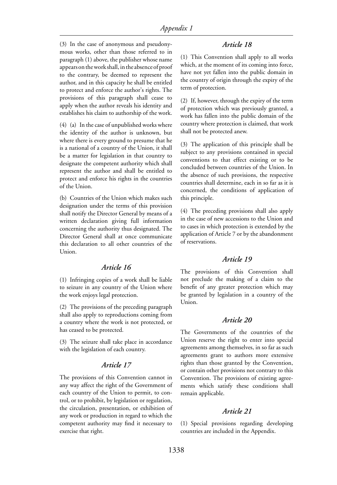#### (3) In the case of anonymous and pseudonymous works, other than those referred to in paragraph (1) above, the publisher whose name appears on the work shall, in the absence of proof to the contrary, be deemed to represent the author, and in this capacity he shall be entitled to protect and enforce the author's rights. The provisions of this paragraph shall cease to apply when the author reveals his identity and establishes his claim to authorship of the work.

(4) (a) In the case of unpublished works where the identity of the author is unknown, but where there is every ground to presume that he is a national of a country of the Union, it shall be a matter for legislation in that country to designate the competent authority which shall represent the author and shall be entitled to protect and enforce his rights in the countries of the Union.

(b) Countries of the Union which makes such designation under the terms of this provision shall notify the Director General by means of a written declaration giving full information concerning the authority thus designated. The Director General shall at once communicate this declaration to all other countries of the Union.

# *Article 16*

(1) Infringing copies of a work shall be liable to seizure in any country of the Union where the work enjoys legal protection.

(2) The provisions of the preceding paragraph shall also apply to reproductions coming from a country where the work is not protected, or has ceased to be protected.

(3) The seizure shall take place in accordance with the legislation of each country.

#### *Article 17*

The provisions of this Convention cannot in any way affect the right of the Government of each country of the Union to permit, to control, or to prohibit, by legislation or regulation, the circulation, presentation, or exhibition of any work or production in regard to which the competent authority may find it necessary to exercise that right.

#### *Article 18*

(1) This Convention shall apply to all works which, at the moment of its coming into force, have not yet fallen into the public domain in the country of origin through the expiry of the term of protection.

(2) If, however, through the expiry of the term of protection which was previously granted, a work has fallen into the public domain of the country where protection is claimed, that work shall not be protected anew.

(3) The application of this principle shall be subject to any provisions contained in special conventions to that effect existing or to be concluded between countries of the Union. In the absence of such provisions, the respective countries shall determine, each in so far as it is concerned, the conditions of application of this principle.

(4) The preceding provisions shall also apply in the case of new accessions to the Union and to cases in which protection is extended by the application of Article 7 or by the abandonment of reservations.

#### *Article 19*

The provisions of this Convention shall not preclude the making of a claim to the benefit of any greater protection which may be granted by legislation in a country of the Union.

#### *Article 20*

The Governments of the countries of the Union reserve the right to enter into special agreements among themselves, in so far as such agreements grant to authors more extensive rights than those granted by the Convention, or contain other provisions not contrary to this Convention. The provisions of existing agreements which satisfy these conditions shall remain applicable.

#### *Article 21*

(1) Special provisions regarding developing countries are included in the Appendix.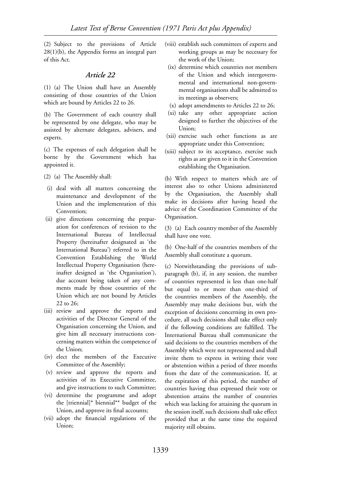(2) Subject to the provisions of Article 28(1)(b), the Appendix forms an integral part of this Act.

#### *Article 22*

(1) (a) The Union shall have an Assembly consisting of those countries of the Union which are bound by Articles 22 to 26.

(b) The Government of each country shall be represented by one delegate, who may be assisted by alternate delegates, advisers, and experts.

(c) The expenses of each delegation shall be borne by the Government which has appointed it.

(2) (a) The Assembly shall:

- (i) deal with all matters concerning the maintenance and development of the Union and the implementation of this Convention;
- (ii) give directions concerning the preparation for conferences of revision to the International Bureau of Intellectual Property (hereinafter designated as 'the International Bureau') referred to in the Convention Establishing the World Intellectual Property Organisation (hereinafter designed as 'the Organisation'), due account being taken of any comments made by those countries of the Union which are not bound by Articles 22 to 26;
- (iii) review and approve the reports and activities of the Director General of the Organisation concerning the Union, and give him all necessary instructions concerning matters within the competence of the Union;
- (iv) elect the members of the Executive Committee of the Assembly;
- (v) review and approve the reports and activities of its Executive Committee, and give instructions to such Committee;
- (vi) determine the programme and adopt the [triennial]\* biennial\*\* budget of the Union, and approve its final accounts;
- (vii) adopt the financial regulations of the Union;
- (viii) establish such committees of experts and working groups as may be necessary for the work of the Union;
- (ix) determine which countries not members of the Union and which intergovernmental and international non-governmental organisations shall be admitted to its meetings as observers;
- (x) adopt amendments to Articles 22 to 26;
- (xi) take any other appropriate action designed to further the objectives of the Union;
- (xii) exercise such other functions as are appropriate under this Convention;
- (xiii) subject to its acceptance, exercise such rights as are given to it in the Convention establishing the Organisation.

(b) With respect to matters which are of interest also to other Unions administered by the Organisation, the Assembly shall make its decisions after having heard the advice of the Coordination Committee of the Organisation.

(3) (a) Each country member of the Assembly shall have one vote.

(b) One-half of the countries members of the Assembly shall constitute a quorum.

(c) Notwithstanding the provisions of subparagraph (b), if, in any session, the number of countries represented is less than one-half but equal to or more than one-third of the countries members of the Assembly, the Assembly may make decisions but, with the exception of decisions concerning its own procedure, all such decisions shall take effect only if the following conditions are fulfilled. The International Bureau shall communicate the said decisions to the countries members of the Assembly which were not represented and shall invite them to express in writing their vote or abstention within a period of three months from the date of the communication. If, at the expiration of this period, the number of countries having thus expressed their vote or abstention attains the number of countries which was lacking for attaining the quorum in the session itself, such decisions shall take effect provided that at the same time the required majority still obtains.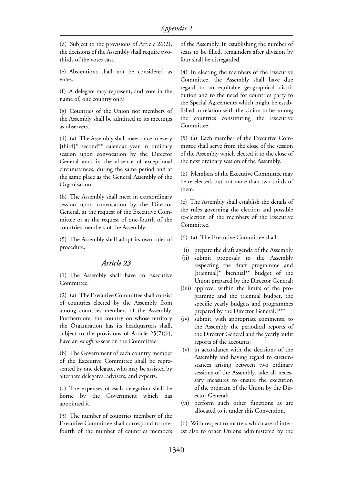(d) Subject to the provisions of Article 26(2), the decisions of the Assembly shall require twothirds of the votes cast.

(e) Abstentions shall not be considered as votes.

(f) A delegate may represent, and vote in the name of, one country only.

(g) Countries of the Union not members of the Assembly shall be admitted to its meetings as observers.

(4) (a) The Assembly shall meet once in every [third]\* second\*\* calendar year in ordinary session upon convocation by the Director General and, in the absence of exceptional circumstances, during the same period and at the same place as the General Assembly of the Organisation.

(b) The Assembly shall meet in extraordinary session upon convocation by the Director General, at the request of the Executive Committee or at the request of one-fourth of the countries members of the Assembly.

(5) The Assembly shall adopt its own rules of procedure.

#### *Article 23*

(1) The Assembly shall have an Executive Committee.

(2) (a) The Executive Committee shall consist of countries elected by the Assembly from among countries members of the Assembly. Furthermore, the country on whose territory the Organisation has its headquarters shall, subject to the provisions of Article 25(7)(b), have an *ex officio* seat on the Committee.

(b) The Government of each country member of the Executive Committee shall be represented by one delegate, who may be assisted by alternate delegates, advisers, and experts.

(c) The expenses of each delegation shall be borne by the Government which has appointed it.

(3) The number of countries members of the Executive Committee shall correspond to onefourth of the number of countries members of the Assembly. In establishing the number of seats to be filled, remainders after division by four shall be disregarded.

(4) In electing the members of the Executive Committee, the Assembly shall have due regard to an equitable geographical distribution and to the need for countries party to the Special Agreements which might be established in relation with the Union to be among the countries constituting the Executive Committee.

(5) (a) Each member of the Executive Committee shall serve from the close of the session of the Assembly which elected it to the close of the next ordinary session of the Assembly.

(b) Members of the Executive Committee may be re-elected, but not more than two-thirds of them.

(c) The Assembly shall establish the details of the rules governing the election and possible re-election of the members of the Executive Committee.

- (6) (a) The Executive Committee shall:
- (i) prepare the draft agenda of the Assembly
- (ii) submit proposals to the Assembly respecting the draft programme and [triennial]\* biennial\*\* budget of the Union prepared by the Director General;
- [(iii) approve, within the limits of the programme and the triennial budget, the specific yearly budgets and programmes prepared by the Director General;]\*\*\*
- (iv) submit, with appropriate comments, to the Assembly the periodical reports of the Director General and the yearly audit reports of the accounts;
- (v) in accordance with the decisions of the Assembly and having regard to circumstances arising between two ordinary sessions of the Assembly, take all necessary measures to ensure the execution of the program of the Union by the Director General;
- (vi) perform such other functions as are allocated to it under this Convention.

(b) With respect to matters which are of interest also to other Unions administered by the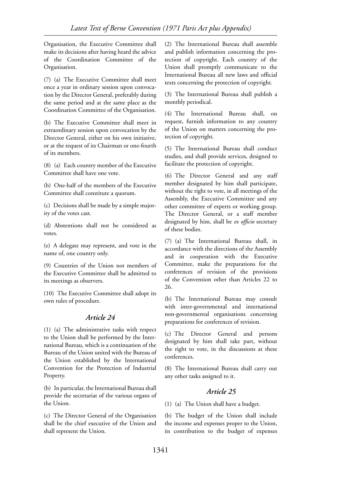Organisation, the Executive Committee shall make its decisions after having heard the advice of the Coordination Committee of the Organisation.

(7) (a) The Executive Committee shall meet once a year in ordinary session upon convocation by the Director General, preferably during the same period and at the same place as the Coordination Committee of the Organisation.

(b) The Executive Committee shall meet in extraordinary session upon convocation by the Director General, either on his own initiative, or at the request of its Chairman or one-fourth of its members.

(8) (a) Each country member of the Executive Committee shall have one vote.

(b) One-half of the members of the Executive Committee shall constitute a quorum.

(c) Decisions shall be made by a simple majority of the votes cast.

(d) Abstentions shall not be considered as votes.

(e) A delegate may represent, and vote in the name of, one country only.

(9) Countries of the Union not members of the Executive Committee shall be admitted to its meetings as observers.

(10) The Executive Committee shall adopt its own rules of procedure.

# *Article 24*

(1) (a) The administrative tasks with respect to the Union shall be performed by the International Bureau, which is a continuation of the Bureau of the Union united with the Bureau of the Union established by the International Convention for the Protection of Industrial Property.

(b) In particular, the International Bureau shall provide the secretariat of the various organs of the Union.

(c) The Director General of the Organisation shall be the chief executive of the Union and shall represent the Union.

(2) The International Bureau shall assemble and publish information concerning the protection of copyright. Each country of the Union shall promptly communicate to the International Bureau all new laws and official texts concerning the protection of copyright.

(3) The International Bureau shall publish a monthly periodical.

(4) The International Bureau shall, on request, furnish information to any country of the Union on matters concerning the protection of copyright.

(5) The International Bureau shall conduct studies, and shall provide services, designed to facilitate the protection of copyright.

(6) The Director General and any staff member designated by him shall participate, without the right to vote, in all meetings of the Assembly, the Executive Committee and any other committee of experts or working group. The Director General, or a staff member designated by him, shall be *ex officio* secretary of these bodies.

(7) (a) The International Bureau shall, in accordance with the directions of the Assembly and in cooperation with the Executive Committee, make the preparations for the conferences of revision of the provisions of the Convention other than Articles 22 to 26.

(b) The International Bureau may consult with inter-governmental and international non-governmental organisations concerning preparations for conferences of revision.

(c) The Director General and persons designated by him shall take part, without the right to vote, in the discussions at these conferences.

(8) The International Bureau shall carry out any other tasks assigned to it.

# *Article 25*

(1) (a) The Union shall have a budget.

(b) The budget of the Union shall include the income and expenses proper to the Union, its contribution to the budget of expenses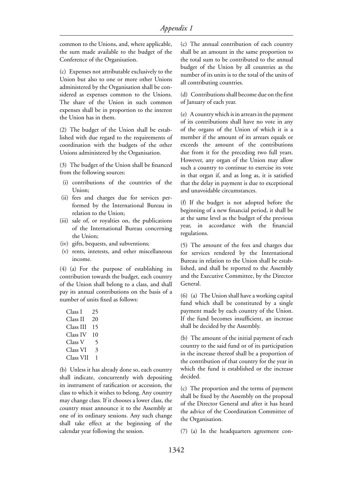common to the Unions, and, where applicable, the sum made available to the budget of the Conference of the Organisation.

(c) Expenses not attributable exclusively to the Union but also to one or more other Unions administered by the Organisation shall be considered as expenses common to the Unions. The share of the Union in such common expenses shall be in proportion to the interest the Union has in them.

(2) The budget of the Union shall be established with due regard to the requirements of coordination with the budgets of the other Unions administered by the Organisation.

(3) The budget of the Union shall be financed from the following sources:

- (i) contributions of the countries of the Union;
- (ii) fees and charges due for services performed by the International Bureau in relation to the Union;
- (iii) sale of, or royalties on, the publications of the International Bureau concerning the Union;
- (iv) gifts, bequests, and subventions;
- (v) rents, interests, and other miscellaneous income.

(4) (a) For the purpose of establishing its contribution towards the budget, each country of the Union shall belong to a class, and shall pay its annual contributions on the basis of a number of units fixed as follows:

| Class I   | 25 |
|-----------|----|
| Class II  | 20 |
| Class III | 15 |
| Class IV  | 10 |
| Class V   | 5  |
| Class VI  | 3  |
| Class VII | 1  |
|           |    |

(b) Unless it has already done so, each country shall indicate, concurrently with depositing its instrument of ratification or accession, the class to which it wishes to belong. Any country may change class. If it chooses a lower class, the country must announce it to the Assembly at one of its ordinary sessions. Any such change shall take effect at the beginning of the calendar year following the session.

(c) The annual contribution of each country shall be an amount in the same proportion to the total sum to be contributed to the annual budget of the Union by all countries as the number of its units is to the total of the units of all contributing countries.

(d) Contributions shall become due on the first of January of each year.

(e) A country which is in arrears in the payment of its contributions shall have no vote in any of the organs of the Union of which it is a member if the amount of its arrears equals or exceeds the amount of the contributions due from it for the preceding two full years. However, any organ of the Union may allow such a country to continue to exercise its vote in that organ if, and as long as, it is satisfied that the delay in payment is due to exceptional and unavoidable circumstances.

(f) If the budget is not adopted before the beginning of a new financial period, it shall be at the same level as the budget of the previous year, in accordance with the financial regulations.

(5) The amount of the fees and charges due for services rendered by the International Bureau in relation to the Union shall be established, and shall be reported to the Assembly and the Executive Committee, by the Director General.

(6) (a) The Union shall have a working capital fund which shall be constituted by a single payment made by each country of the Union. If the fund becomes insufficient, an increase shall be decided by the Assembly.

(b) The amount of the initial payment of each country to the said fund or of its participation in the increase thereof shall be a proportion of the contribution of that country for the year in which the fund is established or the increase decided.

(c) The proportion and the terms of payment shall be fixed by the Assembly on the proposal of the Director General and after it has heard the advice of the Coordination Committee of the Organisation.

(7) (a) In the headquarters agreement con-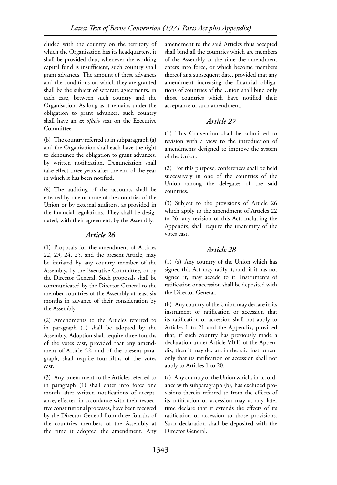cluded with the country on the territory of which the Organisation has its headquarters, it shall be provided that, whenever the working capital fund is insufficient, such country shall grant advances. The amount of these advances and the conditions on which they are granted shall be the subject of separate agreements, in each case, between such country and the Organisation. As long as it remains under the obligation to grant advances, such country shall have an *ex officio* seat on the Executive Committee.

(b) The country referred to in subparagraph (a) and the Organisation shall each have the right to denounce the obligation to grant advances, by written notification. Denunciation shall take effect three years after the end of the year in which it has been notified.

(8) The auditing of the accounts shall be effected by one or more of the countries of the Union or by external auditors, as provided in the financial regulations. They shall be designated, with their agreement, by the Assembly.

#### *Article 26*

(1) Proposals for the amendment of Articles 22, 23, 24, 25, and the present Article, may be initiated by any country member of the Assembly, by the Executive Committee, or by the Director General. Such proposals shall be communicated by the Director General to the member countries of the Assembly at least six months in advance of their consideration by the Assembly.

(2) Amendments to the Articles referred to in paragraph (1) shall be adopted by the Assembly. Adoption shall require three-fourths of the votes cast, provided that any amendment of Article 22, and of the present paragraph, shall require four-fifths of the votes cast.

(3) Any amendment to the Articles referred to in paragraph (1) shall enter into force one month after written notifications of acceptance, effected in accordance with their respective constitutional processes, have been received by the Director General from three-fourths of the countries members of the Assembly at the time it adopted the amendment. Any

amendment to the said Articles thus accepted shall bind all the countries which are members of the Assembly at the time the amendment enters into force, or which become members thereof at a subsequent date, provided that any amendment increasing the financial obligations of countries of the Union shall bind only those countries which have notified their acceptance of such amendment.

# *Article 27*

(1) This Convention shall be submitted to revision with a view to the introduction of amendments designed to improve the system of the Union.

(2) For this purpose, conferences shall be held successively in one of the countries of the Union among the delegates of the said countries.

(3) Subject to the provisions of Article 26 which apply to the amendment of Articles 22 to 26, any revision of this Act, including the Appendix, shall require the unanimity of the votes cast.

#### *Article 28*

(1) (a) Any country of the Union which has signed this Act may ratify it, and, if it has not signed it, may accede to it. Instruments of ratification or accession shall be deposited with the Director General.

(b) Any country of the Union may declare in its instrument of ratification or accession that its ratification or accession shall not apply to Articles 1 to 21 and the Appendix, provided that, if such country has previously made a declaration under Article VI(1) of the Appendix, then it may declare in the said instrument only that its ratification or accession shall not apply to Articles 1 to 20.

(c) Any country of the Union which, in accordance with subparagraph (b), has excluded provisions therein referred to from the effects of its ratification or accession may at any later time declare that it extends the effects of its ratification or accession to those provisions. Such declaration shall be deposited with the Director General.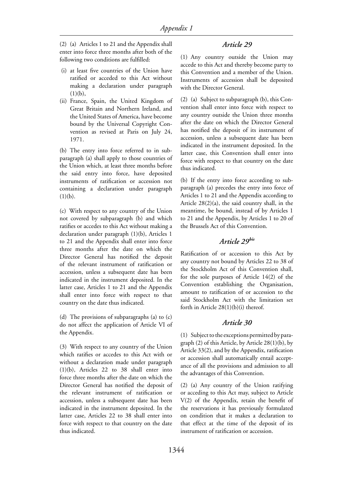(2) (a) Articles 1 to 21 and the Appendix shall enter into force three months after both of the following two conditions are fulfilled:

- (i) at least five countries of the Union have ratified or acceded to this Act without making a declaration under paragraph  $(1)(b)$ ,
- (ii) France, Spain, the United Kingdom of Great Britain and Northern Ireland, and the United States of America, have become bound by the Universal Copyright Convention as revised at Paris on July 24, 1971.

(b) The entry into force referred to in subparagraph (a) shall apply to those countries of the Union which, at least three months before the said entry into force, have deposited instruments of ratification or accession not containing a declaration under paragraph  $(1)(b)$ .

(c) With respect to any country of the Union not covered by subparagraph (b) and which ratifies or accedes to this Act without making a declaration under paragraph (1)(b), Articles 1 to 21 and the Appendix shall enter into force three months after the date on which the Director General has notified the deposit of the relevant instrument of ratification or accession, unless a subsequent date has been indicated in the instrument deposited. In the latter case, Articles 1 to 21 and the Appendix shall enter into force with respect to that country on the date thus indicated.

(d) The provisions of subparagraphs (a) to (c) do not affect the application of Article VI of the Appendix.

(3) With respect to any country of the Union which ratifies or accedes to this Act with or without a declaration made under paragraph (1)(b), Articles 22 to 38 shall enter into force three months after the date on which the Director General has notified the deposit of the relevant instrument of ratification or accession, unless a subsequent date has been indicated in the instrument deposited. In the latter case, Articles 22 to 38 shall enter into force with respect to that country on the date thus indicated.

## *Article 29*

(1) Any country outside the Union may accede to this Act and thereby become party to this Convention and a member of the Union. Instruments of accession shall be deposited with the Director General.

(2) (a) Subject to subparagraph (b), this Convention shall enter into force with respect to any country outside the Union three months after the date on which the Director General has notified the deposit of its instrument of accession, unless a subsequent date has been indicated in the instrument deposited. In the latter case, this Convention shall enter into force with respect to that country on the date thus indicated.

(b) If the entry into force according to subparagraph (a) precedes the entry into force of Articles 1 to 21 and the Appendix according to Article 28(2)(a), the said country shall, in the meantime, be bound, instead of by Articles 1 to 21 and the Appendix, by Articles 1 to 20 of the Brussels Act of this Convention.

# *Article 29bis*

Ratification of or accession to this Act by any country not bound by Articles 22 to 38 of the Stockholm Act of this Convention shall, for the sole purposes of Article 14(2) of the Convention establishing the Organisation, amount to ratification of or accession to the said Stockholm Act with the limitation set forth in Article 28(1)(b)(i) thereof.

#### *Article 30*

(1) Subject to the exceptions permitted by paragraph (2) of this Article, by Article 28(1)(b), by Article 33(2), and by the Appendix, ratification or accession shall automatically entail acceptance of all the provisions and admission to all the advantages of this Convention.

(2) (a) Any country of the Union ratifying or acceding to this Act may, subject to Article V(2) of the Appendix, retain the benefit of the reservations it has previously formulated on condition that it makes a declaration to that effect at the time of the deposit of its instrument of ratification or accession.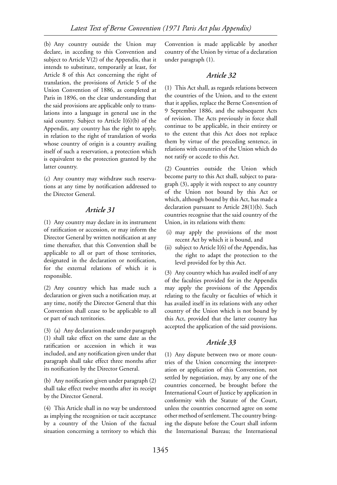(b) Any country outside the Union may declare, in acceding to this Convention and subject to Article V(2) of the Appendix, that it intends to substitute, temporarily at least, for Article 8 of this Act concerning the right of translation, the provisions of Article 5 of the Union Convention of 1886, as completed at Paris in 1896, on the clear understanding that the said provisions are applicable only to translations into a language in general use in the said country. Subject to Article  $I(6)(b)$  of the Appendix, any country has the right to apply, in relation to the right of translation of works whose country of origin is a country availing itself of such a reservation, a protection which is equivalent to the protection granted by the latter country.

(c) Any country may withdraw such reservations at any time by notification addressed to the Director General.

#### *Article 31*

(1) Any country may declare in its instrument of ratification or accession, or may inform the Director General by written notification at any time thereafter, that this Convention shall be applicable to all or part of those territories, designated in the declaration or notification, for the external relations of which it is responsible.

(2) Any country which has made such a declaration or given such a notification may, at any time, notify the Director General that this Convention shall cease to be applicable to all or part of such territories.

(3) (a) Any declaration made under paragraph (1) shall take effect on the same date as the ratification or accession in which it was included, and any notification given under that paragraph shall take effect three months after its notification by the Director General.

(b) Any notification given under paragraph (2) shall take effect twelve months after its receipt by the Director General.

(4) This Article shall in no way be understood as implying the recognition or tacit acceptance by a country of the Union of the factual situation concerning a territory to which this

Convention is made applicable by another country of the Union by virtue of a declaration under paragraph (1).

# *Article 32*

(1) This Act shall, as regards relations between the countries of the Union, and to the extent that it applies, replace the Berne Convention of 9 September 1886, and the subsequent Acts of revision. The Acts previously in force shall continue to be applicable, in their entirety or to the extent that this Act does not replace them by virtue of the preceding sentence, in relations with countries of the Union which do not ratify or accede to this Act.

(2) Countries outside the Union which become party to this Act shall, subject to paragraph (3), apply it with respect to any country of the Union not bound by this Act or which, although bound by this Act, has made a declaration pursuant to Article 28(1)(b). Such countries recognise that the said country of the Union, in its relations with them:

- (i) may apply the provisions of the most recent Act by which it is bound, and
- (ii) subject to Article I(6) of the Appendix, has the right to adapt the protection to the level provided for by this Act.

(3) Any country which has availed itself of any of the faculties provided for in the Appendix may apply the provisions of the Appendix relating to the faculty or faculties of which it has availed itself in its relations with any other country of the Union which is not bound by this Act, provided that the latter country has accepted the application of the said provisions.

# *Article 33*

(1) Any dispute between two or more countries of the Union concerning the interpretation or application of this Convention, not settled by negotiation, may, by any one of the countries concerned, be brought before the International Court of Justice by application in conformity with the Statute of the Court, unless the countries concerned agree on some other method of settlement. The country bringing the dispute before the Court shall inform the International Bureau; the International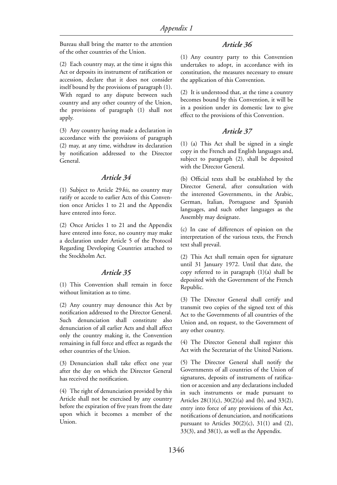Bureau shall bring the matter to the attention of the other countries of the Union.

(2) Each country may, at the time it signs this Act or deposits its instrument of ratification or accession, declare that it does not consider itself bound by the provisions of paragraph (1). With regard to any dispute between such country and any other country of the Union, the provisions of paragraph (1) shall not apply.

(3) Any country having made a declaration in accordance with the provisions of paragraph (2) may, at any time, withdraw its declaration by notification addressed to the Director General.

#### *Article 34*

(1) Subject to Article 29*bis*, no country may ratify or accede to earlier Acts of this Convention once Articles 1 to 21 and the Appendix have entered into force.

(2) Once Articles 1 to 21 and the Appendix have entered into force, no country may make a declaration under Article 5 of the Protocol Regarding Developing Countries attached to the Stockholm Act.

#### *Article 35*

(1) This Convention shall remain in force without limitation as to time.

(2) Any country may denounce this Act by notification addressed to the Director General. Such denunciation shall constitute also denunciation of all earlier Acts and shall affect only the country making it, the Convention remaining in full force and effect as regards the other countries of the Union.

(3) Denunciation shall take effect one year after the day on which the Director General has received the notification.

(4) The right of denunciation provided by this Article shall not be exercised by any country before the expiration of five years from the date upon which it becomes a member of the Union.

#### *Article 36*

(1) Any country party to this Convention undertakes to adopt, in accordance with its constitution, the measures necessary to ensure the application of this Convention.

(2) It is understood that, at the time a country becomes bound by this Convention, it will be in a position under its domestic law to give effect to the provisions of this Convention.

#### *Article 37*

(1) (a) This Act shall be signed in a single copy in the French and English languages and, subject to paragraph (2), shall be deposited with the Director General.

(b) Official texts shall be established by the Director General, after consultation with the interested Governments, in the Arabic, German, Italian, Portuguese and Spanish languages, and such other languages as the Assembly may designate.

(c) In case of differences of opinion on the interpretation of the various texts, the French text shall prevail.

(2) This Act shall remain open for signature until 31 January 1972. Until that date, the copy referred to in paragraph (1)(a) shall be deposited with the Government of the French Republic.

(3) The Director General shall certify and transmit two copies of the signed text of this Act to the Governments of all countries of the Union and, on request, to the Government of any other country.

(4) The Director General shall register this Act with the Secretariat of the United Nations.

(5) The Director General shall notify the Governments of all countries of the Union of signatures, deposits of instruments of ratification or accession and any declarations included in such instruments or made pursuant to Articles  $28(1)(c)$ ,  $30(2)(a)$  and (b), and  $33(2)$ , entry into force of any provisions of this Act, notifications of denunciation, and notifications pursuant to Articles  $30(2)(c)$ ,  $31(1)$  and  $(2)$ , 33(3), and 38(1), as well as the Appendix.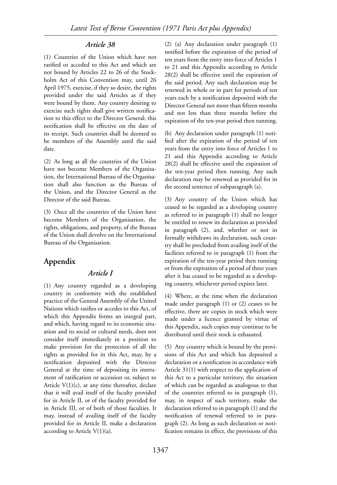## *Article 38*

(1) Countries of the Union which have not ratified or acceded to this Act and which are not bound by Articles 22 to 26 of the Stockholm Act of this Convention may, until 26 April 1975, exercise, if they so desire, the rights provided under the said Articles as if they were bound by them. Any country desiring to exercise such rights shall give written notification to this effect to the Director General; this notification shall be effective on the date of its receipt. Such countries shall be deemed to be members of the Assembly until the said date.

(2) As long as all the countries of the Union have not become Members of the Organisation, the International Bureau of the Organisation shall also function as the Bureau of the Union, and the Director General as the Director of the said Bureau.

(3) Once all the countries of the Union have become Members of the Organisation, the rights, obligations, and property, of the Bureau of the Union shall devolve on the International Bureau of the Organisation.

# **Appendix**

#### *Article I*

(1) Any country regarded as a developing country in conformity with the established practice of the General Assembly of the United Nations which ratifies or accedes to this Act, of which this Appendix forms an integral part, and which, having regard to its economic situation and its social or cultural needs, does not consider itself immediately in a position to make provision for the protection of all the rights as provided for in this Act, may, by a notification deposited with the Director General at the time of depositing its instrument of ratification or accession or, subject to Article V(1)(c), at any time thereafter, declare that it will avail itself of the faculty provided for in Article II, or of the faculty provided for in Article III, or of both of those faculties. It may, instead of availing itself of the faculty provided for in Article II, make a declaration according to Article  $V(1)(a)$ .

(2) (a) Any declaration under paragraph (1) notified before the expiration of the period of ten years from the entry into force of Articles 1 to 21 and this Appendix according to Article 28(2) shall be effective until the expiration of the said period. Any such declaration may be renewed in whole or in part for periods of ten years each by a notification deposited with the Director General not more than fifteen months and not less than three months before the expiration of the ten-year period then running.

(b) Any declaration under paragraph (1) notified after the expiration of the period of ten years from the entry into force of Articles 1 to 21 and this Appendix according to Article 28(2) shall be effective until the expiration of the ten-year period then running. Any such declaration may be renewed as provided for in the second sentence of subparagraph (a).

(3) Any country of the Union which has ceased to be regarded as a developing country as referred to in paragraph (1) shall no longer be entitled to renew its declaration as provided in paragraph (2), and, whether or not in formally withdraws its declaration, such country shall be precluded from availing itself of the facilities referred to in paragraph (1) from the expiration of the ten-year period then running or from the expiration of a period of three years after it has ceased to be regarded as a developing country, whichever period expires later.

(4) Where, at the time when the declaration made under paragraph (1) or (2) ceases to be effective, there are copies in stock which were made under a licence granted by virtue of this Appendix, such copies may continue to be distributed until their stock is exhausted.

(5) Any country which is bound by the provisions of this Act and which has deposited a declaration or a notification in accordance with Article 31(1) with respect to the application of this Act to a particular territory, the situation of which can be regarded as analogous to that of the countries referred to in paragraph (1), may, in respect of such territory, make the declaration referred to in paragraph (1) and the notification of renewal referred to in paragraph (2). As long as such declaration or notification remains in effect, the provisions of this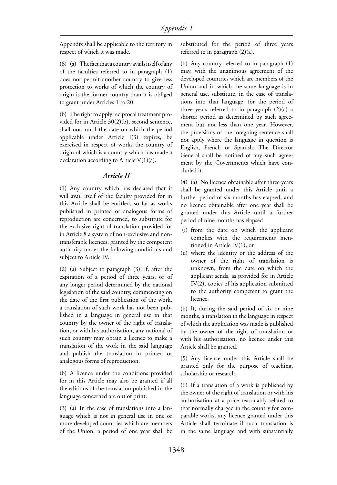Appendix shall be applicable to the territory in respect of which it was made.

(6) (a) The fact that a country avails itself of any of the faculties referred to in paragraph (1) does not permit another country to give less protection to works of which the country of origin is the former country than it is obliged to grant under Articles 1 to 20.

(b) The right to apply reciprocal treatment provided for in Article 30(2)(b), second sentence, shall not, until the date on which the period applicable under Article I(3) expires, be exercised in respect of works the country of origin of which is a country which has made a declaration according to Article V(1)(a).

#### *Article II*

(1) Any country which has declared that it will avail itself of the faculty provided for in this Article shall be entitled, so far as works published in printed or analogous forms of reproduction are concerned, to substitute for the exclusive right of translation provided for in Article 8 a system of non-exclusive and nontransferable licences, granted by the competent authority under the following conditions and subject to Article IV.

(2) (a) Subject to paragraph (3), if, after the expiration of a period of three years, or of any longer period determined by the national legislation of the said country, commencing on the date of the first publication of the work, a translation of such work has not been published in a language in general use in that country by the owner of the right of translation, or with his authorisation, any national of such country may obtain a licence to make a translation of the work in the said language and publish the translation in printed or analogous forms of reproduction.

(b) A licence under the conditions provided for in this Article may also be granted if all the editions of the translation published in the language concerned are out of print.

(3) (a) In the case of translations into a language which is not in general use in one or more developed countries which are members of the Union, a period of one year shall be substituted for the period of three years referred to in paragraph (2)(a).

(b) Any country referred to in paragraph (1) may, with the unanimous agreement of the developed countries which are members of the Union and in which the same language is in general use, substitute, in the case of translations into that language, for the period of three years referred to in paragraph (2)(a) a shorter period as determined by such agreement but not less than one year. However, the provisions of the foregoing sentence shall not apply where the language in question is English, French or Spanish. The Director General shall be notified of any such agreement by the Governments which have concluded it.

(4) (a) No licence obtainable after three years shall be granted under this Article until a further period of six months has elapsed, and no licence obtainable after one year shall be granted under this Article until a further period of nine months has elapsed

- (i) from the date on which the applicant complies with the requirements mentioned in Article IV(1), or
- (ii) where the identity or the address of the owner of the right of translation is unknown, from the date on which the applicant sends, as provided for in Article IV(2), copies of his application submitted to the authority competent to grant the licence.

(b) If, during the said period of six or nine months, a translation in the language in respect of which the application was made is published by the owner of the right of translation or with his authorisation, no licence under this Article shall be granted.

(5) Any licence under this Article shall be granted only for the purpose of teaching, scholarship or research.

(6) If a translation of a work is published by the owner of the right of translation or with his authorisation at a price reasonably related to that normally charged in the country for comparable works, any licence granted under this Article shall terminate if such translation is in the same language and with substantially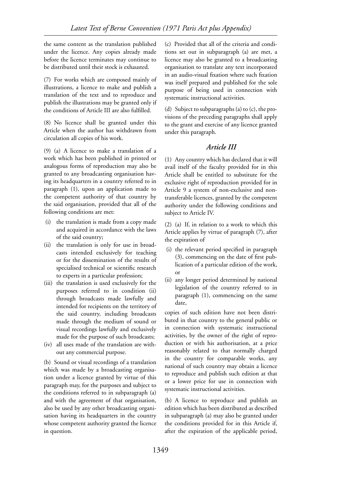the same content as the translation published under the licence. Any copies already made before the licence terminates may continue to be distributed until their stock is exhausted.

(7) For works which are composed mainly of illustrations, a licence to make and publish a translation of the text and to reproduce and publish the illustrations may be granted only if the conditions of Article III are also fulfilled.

(8) No licence shall be granted under this Article when the author has withdrawn from circulation all copies of his work.

(9) (a) A licence to make a translation of a work which has been published in printed or analogous forms of reproduction may also be granted to any broadcasting organisation having its headquarters in a country referred to in paragraph (1), upon an application made to the competent authority of that country by the said organisation, provided that all of the following conditions are met:

- (i) the translation is made from a copy made and acquired in accordance with the laws of the said country;
- (ii) the translation is only for use in broadcasts intended exclusively for teaching or for the dissemination of the results of specialised technical or scientific research to experts in a particular profession;
- (iii) the translation is used exclusively for the purposes referred to in condition (ii) through broadcasts made lawfully and intended for recipients on the territory of the said country, including broadcasts made through the medium of sound or visual recordings lawfully and exclusively made for the purpose of such broadcasts;
- (iv) all uses made of the translation are without any commercial purpose.

(b) Sound or visual recordings of a translation which was made by a broadcasting organisation under a licence granted by virtue of this paragraph may, for the purposes and subject to the conditions referred to in subparagraph (a) and with the agreement of that organisation, also be used by any other broadcasting organisation having its headquarters in the country whose competent authority granted the licence in question.

(c) Provided that all of the criteria and conditions set out in subparagraph (a) are met, a licence may also be granted to a broadcasting organisation to translate any text incorporated in an audio-visual fixation where such fixation was itself prepared and published for the sole purpose of being used in connection with systematic instructional activities.

(d) Subject to subparagraphs (a) to (c), the provisions of the preceding paragraphs shall apply to the grant and exercise of any licence granted under this paragraph.

#### *Article III*

(1) Any country which has declared that it will avail itself of the faculty provided for in this Article shall be entitled to substitute for the exclusive right of reproduction provided for in Article 9 a system of non-exclusive and nontransferable licences, granted by the competent authority under the following conditions and subject to Article IV.

(2) (a) If, in relation to a work to which this Article applies by virtue of paragraph (7), after the expiration of

- (i) the relevant period specified in paragraph (3), commencing on the date of first publication of a particular edition of the work, or
- (ii) any longer period determined by national legislation of the country referred to in paragraph (1), commencing on the same date,

copies of such edition have not been distributed in that country to the general public or in connection with systematic instructional activities, by the owner of the right of reproduction or with his authorisation, at a price reasonably related to that normally charged in the country for comparable works, any national of such country may obtain a licence to reproduce and publish such edition at that or a lower price for use in connection with systematic instructional activities.

(b) A licence to reproduce and publish an edition which has been distributed as described in subparagraph (a) may also be granted under the conditions provided for in this Article if, after the expiration of the applicable period,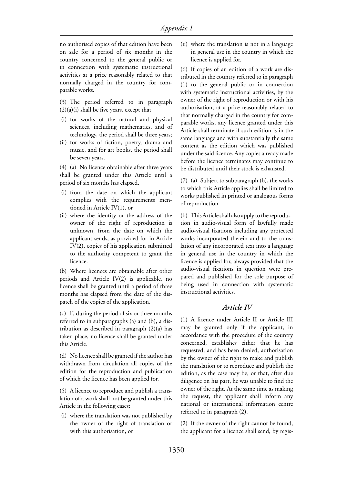no authorised copies of that edition have been on sale for a period of six months in the country concerned to the general public or in connection with systematic instructional activities at a price reasonably related to that normally charged in the country for comparable works.

(3) The period referred to in paragraph  $(2)(a)(i)$  shall be five years, except that

- (i) for works of the natural and physical sciences, including mathematics, and of technology, the period shall be three years;
- (ii) for works of fiction, poetry, drama and music, and for art books, the period shall be seven years.

(4) (a) No licence obtainable after three years shall be granted under this Article until a period of six months has elapsed.

- (i) from the date on which the applicant complies with the requirements mentioned in Article IV(1), or
- (ii) where the identity or the address of the owner of the right of reproduction is unknown, from the date on which the applicant sends, as provided for in Article IV(2), copies of his application submitted to the authority competent to grant the licence.

(b) Where licences are obtainable after other periods and Article IV(2) is applicable, no licence shall be granted until a period of three months has elapsed from the date of the dispatch of the copies of the application.

(c) If, during the period of six or three months referred to in subparagraphs (a) and (b), a distribution as described in paragraph (2)(a) has taken place, no licence shall be granted under this Article.

(d) No licence shall be granted if the author has withdrawn from circulation all copies of the edition for the reproduction and publication of which the licence has been applied for.

(5) A licence to reproduce and publish a translation of a work shall not be granted under this Article in the following cases:

(i) where the translation was not published by the owner of the right of translation or with this authorisation, or

(ii) where the translation is not in a language in general use in the country in which the licence is applied for.

(6) If copies of an edition of a work are distributed in the country referred to in paragraph (1) to the general public or in connection with systematic instructional activities, by the owner of the right of reproduction or with his authorisation, at a price reasonably related to that normally charged in the country for comparable works, any licence granted under this Article shall terminate if such edition is in the same language and with substantially the same content as the edition which was published under the said licence. Any copies already made before the licence terminates may continue to be distributed until their stock is exhausted.

(7) (a) Subject to subparagraph (b), the works to which this Article applies shall be limited to works published in printed or analogous forms of reproduction.

(b) This Article shall also apply to the reproduction in audio-visual form of lawfully made audio-visual fixations including any protected works incorporated therein and to the translation of any incorporated text into a language in general use in the country in which the licence is applied for, always provided that the audio-visual fixations in question were prepared and published for the sole purpose of being used in connection with systematic instructional activities.

#### *Article IV*

(1) A licence under Article II or Article III may be granted only if the applicant, in accordance with the procedure of the country concerned, establishes either that he has requested, and has been denied, authorisation by the owner of the right to make and publish the translation or to reproduce and publish the edition, as the case may be, or that, after due diligence on his part, he was unable to find the owner of the right. At the same time as making the request, the applicant shall inform any national or international information centre referred to in paragraph (2).

(2) If the owner of the right cannot be found, the applicant for a licence shall send, by regis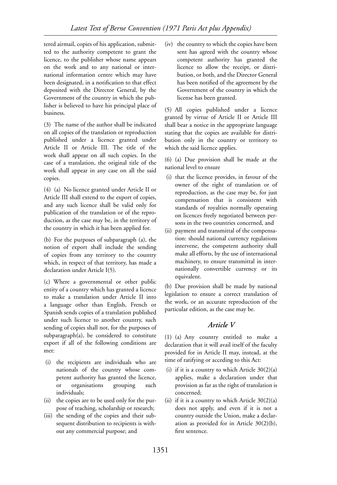tered airmail, copies of his application, submitted to the authority competent to grant the licence, to the publisher whose name appears on the work and to any national or international information centre which may have been designated, in a notification to that effect deposited with the Director General, by the Government of the country in which the publisher is believed to have his principal place of business.

(3) The name of the author shall be indicated on all copies of the translation or reproduction published under a licence granted under Article II or Article III. The title of the work shall appear on all such copies. In the case of a translation, the original title of the work shall appear in any case on all the said copies.

(4) (a) No licence granted under Article II or Article III shall extend to the export of copies, and any such licence shall be valid only for publication of the translation or of the reproduction, as the case may be, in the territory of the country in which it has been applied for.

(b) For the purposes of subparagraph (a), the notion of export shall include the sending of copies from any territory to the country which, in respect of that territory, has made a declaration under Article I(5).

(c) Where a governmental or other public entity of a country which has granted a licence to make a translation under Article II into a language other than English, French or Spanish sends copies of a translation published under such licence to another country, such sending of copies shall not, for the purposes of subparagraph(a), be considered to constitute export if all of the following conditions are met:

- (i) the recipients are individuals who are nationals of the country whose competent authority has granted the licence, or organisations grouping such individuals;
- (ii) the copies are to be used only for the purpose of teaching, scholarship or research;
- (iii) the sending of the copies and their subsequent distribution to recipients is without any commercial purpose; and

(iv) the country to which the copies have been sent has agreed with the country whose competent authority has granted the licence to allow the receipt, or distribution, or both, and the Director General has been notified of the agreement by the Government of the country in which the license has been granted.

(5) All copies published under a licence granted by virtue of Article II or Article III shall bear a notice in the appropriate language stating that the copies are available for distribution only in the country or territory to which the said licence applies.

(6) (a) Due provision shall be made at the national level to ensure

- (i) that the licence provides, in favour of the owner of the right of translation or of reproduction, as the case may be, for just compensation that is consistent with standards of royalties normally operating on licences freely negotiated between persons in the two countries concerned, and
- (ii) payment and transmittal of the compensation: should national currency regulations intervene, the competent authority shall make all efforts, by the use of international machinery, to ensure transmittal in internationally convertible currency or its equivalent.

(b) Due provision shall be made by national legislation to ensure a correct translation of the work, or an accurate reproduction of the particular edition, as the case may be.

# *Article V*

(1) (a) Any country entitled to make a declaration that it will avail itself of the faculty provided for in Article II may, instead, at the time of ratifying or acceding to this Act:

- (i) if it is a country to which Article  $30(2)(a)$ applies, make a declaration under that provision as far as the right of translation is concerned;
- (ii) if it is a country to which Article  $30(2)(a)$ does not apply, and even if it is not a country outside the Union, make a declaration as provided for in Article 30(2)(b), first sentence.